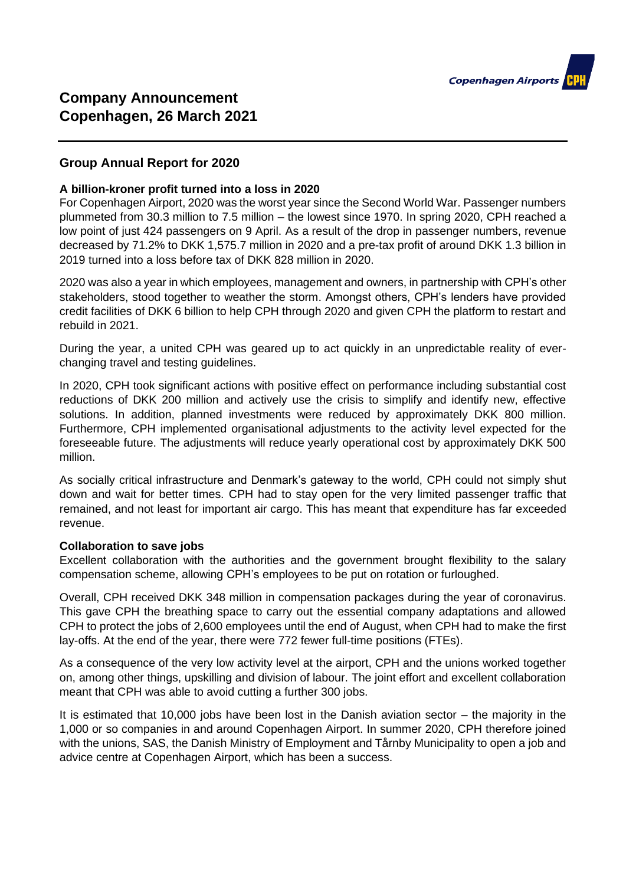

# **Group Annual Report for 2020**

#### **A billion-kroner profit turned into a loss in 2020**

For Copenhagen Airport, 2020 was the worst year since the Second World War. Passenger numbers plummeted from 30.3 million to 7.5 million – the lowest since 1970. In spring 2020, CPH reached a low point of just 424 passengers on 9 April. As a result of the drop in passenger numbers, revenue decreased by 71.2% to DKK 1,575.7 million in 2020 and a pre-tax profit of around DKK 1.3 billion in 2019 turned into a loss before tax of DKK 828 million in 2020.

2020 was also a year in which employees, management and owners, in partnership with CPH's other stakeholders, stood together to weather the storm. Amongst others, CPH's lenders have provided credit facilities of DKK 6 billion to help CPH through 2020 and given CPH the platform to restart and rebuild in 2021.

During the year, a united CPH was geared up to act quickly in an unpredictable reality of everchanging travel and testing guidelines.

In 2020, CPH took significant actions with positive effect on performance including substantial cost reductions of DKK 200 million and actively use the crisis to simplify and identify new, effective solutions. In addition, planned investments were reduced by approximately DKK 800 million. Furthermore, CPH implemented organisational adjustments to the activity level expected for the foreseeable future. The adjustments will reduce yearly operational cost by approximately DKK 500 million.

As socially critical infrastructure and Denmark's gateway to the world, CPH could not simply shut down and wait for better times. CPH had to stay open for the very limited passenger traffic that remained, and not least for important air cargo. This has meant that expenditure has far exceeded revenue.

#### **Collaboration to save jobs**

Excellent collaboration with the authorities and the government brought flexibility to the salary compensation scheme, allowing CPH's employees to be put on rotation or furloughed.

Overall, CPH received DKK 348 million in compensation packages during the year of coronavirus. This gave CPH the breathing space to carry out the essential company adaptations and allowed CPH to protect the jobs of 2,600 employees until the end of August, when CPH had to make the first lay-offs. At the end of the year, there were 772 fewer full-time positions (FTEs).

As a consequence of the very low activity level at the airport, CPH and the unions worked together on, among other things, upskilling and division of labour. The joint effort and excellent collaboration meant that CPH was able to avoid cutting a further 300 jobs.

It is estimated that 10,000 jobs have been lost in the Danish aviation sector – the majority in the 1,000 or so companies in and around Copenhagen Airport. In summer 2020, CPH therefore joined with the unions, SAS, the Danish Ministry of Employment and Tårnby Municipality to open a job and advice centre at Copenhagen Airport, which has been a success.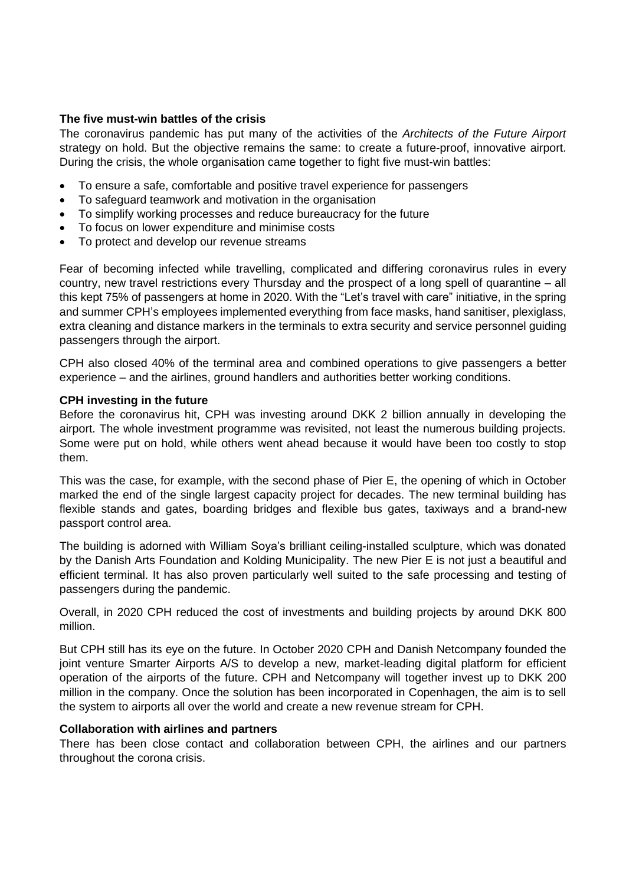## **The five must-win battles of the crisis**

The coronavirus pandemic has put many of the activities of the *Architects of the Future Airport* strategy on hold. But the objective remains the same: to create a future-proof, innovative airport. During the crisis, the whole organisation came together to fight five must-win battles:

- To ensure a safe, comfortable and positive travel experience for passengers
- To safeguard teamwork and motivation in the organisation
- To simplify working processes and reduce bureaucracy for the future
- To focus on lower expenditure and minimise costs
- To protect and develop our revenue streams

Fear of becoming infected while travelling, complicated and differing coronavirus rules in every country, new travel restrictions every Thursday and the prospect of a long spell of quarantine – all this kept 75% of passengers at home in 2020. With the "Let's travel with care" initiative, in the spring and summer CPH's employees implemented everything from face masks, hand sanitiser, plexiglass, extra cleaning and distance markers in the terminals to extra security and service personnel guiding passengers through the airport.

CPH also closed 40% of the terminal area and combined operations to give passengers a better experience – and the airlines, ground handlers and authorities better working conditions.

## **CPH investing in the future**

Before the coronavirus hit, CPH was investing around DKK 2 billion annually in developing the airport. The whole investment programme was revisited, not least the numerous building projects. Some were put on hold, while others went ahead because it would have been too costly to stop them.

This was the case, for example, with the second phase of Pier E, the opening of which in October marked the end of the single largest capacity project for decades. The new terminal building has flexible stands and gates, boarding bridges and flexible bus gates, taxiways and a brand-new passport control area.

The building is adorned with William Soya's brilliant ceiling-installed sculpture, which was donated by the Danish Arts Foundation and Kolding Municipality. The new Pier E is not just a beautiful and efficient terminal. It has also proven particularly well suited to the safe processing and testing of passengers during the pandemic.

Overall, in 2020 CPH reduced the cost of investments and building projects by around DKK 800 million.

But CPH still has its eye on the future. In October 2020 CPH and Danish Netcompany founded the joint venture Smarter Airports A/S to develop a new, market-leading digital platform for efficient operation of the airports of the future. CPH and Netcompany will together invest up to DKK 200 million in the company. Once the solution has been incorporated in Copenhagen, the aim is to sell the system to airports all over the world and create a new revenue stream for CPH.

## **Collaboration with airlines and partners**

There has been close contact and collaboration between CPH, the airlines and our partners throughout the corona crisis.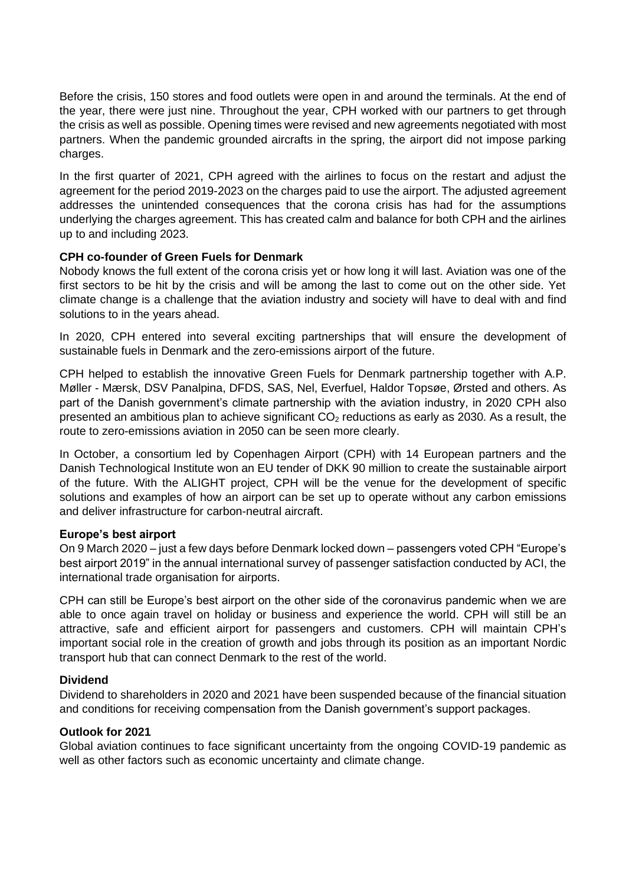Before the crisis, 150 stores and food outlets were open in and around the terminals. At the end of the year, there were just nine. Throughout the year, CPH worked with our partners to get through the crisis as well as possible. Opening times were revised and new agreements negotiated with most partners. When the pandemic grounded aircrafts in the spring, the airport did not impose parking charges.

In the first quarter of 2021, CPH agreed with the airlines to focus on the restart and adjust the agreement for the period 2019-2023 on the charges paid to use the airport. The adjusted agreement addresses the unintended consequences that the corona crisis has had for the assumptions underlying the charges agreement. This has created calm and balance for both CPH and the airlines up to and including 2023.

## **CPH co-founder of Green Fuels for Denmark**

Nobody knows the full extent of the corona crisis yet or how long it will last. Aviation was one of the first sectors to be hit by the crisis and will be among the last to come out on the other side. Yet climate change is a challenge that the aviation industry and society will have to deal with and find solutions to in the years ahead.

In 2020, CPH entered into several exciting partnerships that will ensure the development of sustainable fuels in Denmark and the zero-emissions airport of the future.

CPH helped to establish the innovative Green Fuels for Denmark partnership together with A.P. Møller - Mærsk, DSV Panalpina, DFDS, SAS, Nel, Everfuel, Haldor Topsøe, Ørsted and others. As part of the Danish government's climate partnership with the aviation industry, in 2020 CPH also presented an ambitious plan to achieve significant  $CO<sub>2</sub>$  reductions as early as 2030. As a result, the route to zero-emissions aviation in 2050 can be seen more clearly.

In October, a consortium led by Copenhagen Airport (CPH) with 14 European partners and the Danish Technological Institute won an EU tender of DKK 90 million to create the sustainable airport of the future. With the ALIGHT project, CPH will be the venue for the development of specific solutions and examples of how an airport can be set up to operate without any carbon emissions and deliver infrastructure for carbon-neutral aircraft.

## **Europe's best airport**

On 9 March 2020 – just a few days before Denmark locked down – passengers voted CPH "Europe's best airport 2019" in the annual international survey of passenger satisfaction conducted by ACI, the international trade organisation for airports.

CPH can still be Europe's best airport on the other side of the coronavirus pandemic when we are able to once again travel on holiday or business and experience the world. CPH will still be an attractive, safe and efficient airport for passengers and customers. CPH will maintain CPH's important social role in the creation of growth and jobs through its position as an important Nordic transport hub that can connect Denmark to the rest of the world.

## **Dividend**

Dividend to shareholders in 2020 and 2021 have been suspended because of the financial situation and conditions for receiving compensation from the Danish government's support packages.

#### **Outlook for 2021**

Global aviation continues to face significant uncertainty from the ongoing COVID-19 pandemic as well as other factors such as economic uncertainty and climate change.